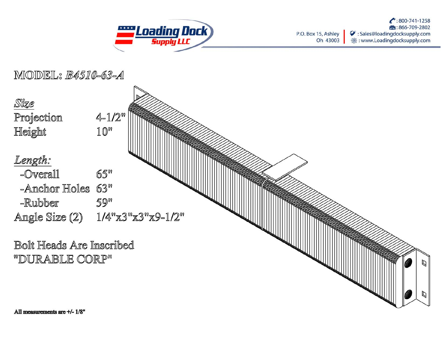

: 800-741-1258 第:866-709-2802 P.O. Box 15, Ashley Sales@loadingdocksupply.com Oh 43003 : www.Loadingdocksupply.com 8

MODEL: B4510-63-A